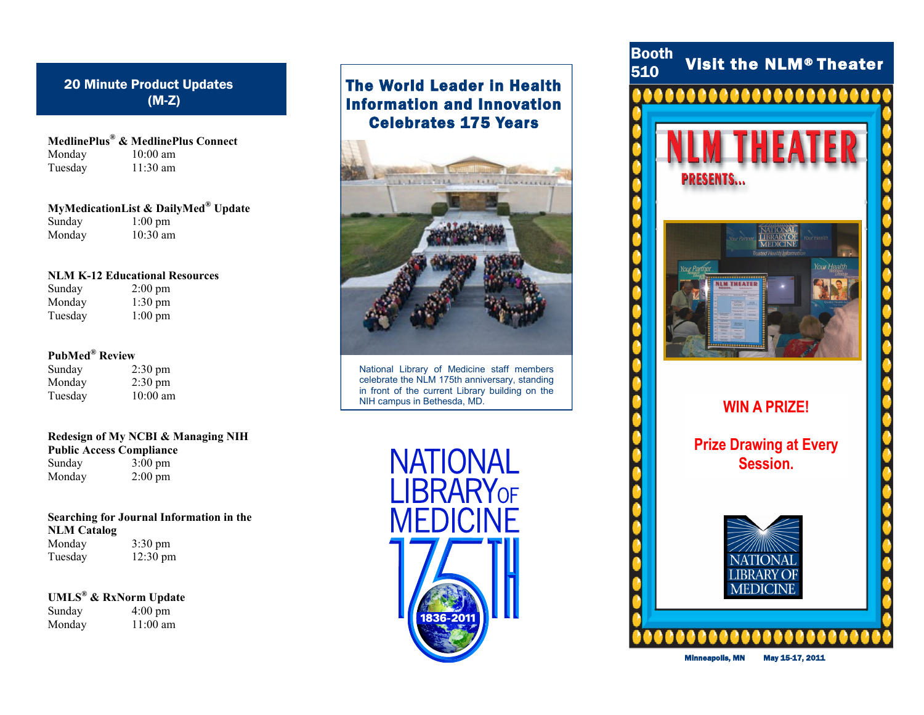### 20 Minute Product Updates (M-Z)

**MedlinePlus® & MedlinePlus Connect** Monday 10:00 am Tuesday 11:30 am

**MyMedicationList & DailyMed® Update** Sunday  $1:00 \text{ pm}$ Monday 10:30 am

#### **NLM K-12 Educational Resources**

Sunday 2:00 pm<br>Monday 1:30 pm  $1:30 \text{ pm}$ Tuesday 1:00 pm

### **PubMed® Review**

| Sunday  | $2:30 \text{ pm}$ |
|---------|-------------------|
| Monday  | $2:30 \text{ pm}$ |
| Tuesday | $10:00$ am        |

### **Redesign of My NCBI & Managing NIH Public Access Compliance**<br>Sunday 3:00 pm

 $3:00 \text{ pm}$ Monday 2:00 pm

### **Searching for Journal Information in the NLM Catalog**

Monday 3:30 pm Tuesday 12:30 pm

**UMLS® & RxNorm Update**

Sunday  $4:00 \text{ pm}$ <br>Monday  $11:00 \text{ am}$  $11:00$  am

### The World Leader in Health Information and Innovation Celebrates 175 Years



National Library of Medicine staff members celebrate the NLM 175th anniversary, standing in front of the current Library building on the NIH campus in Bethesda, MD.